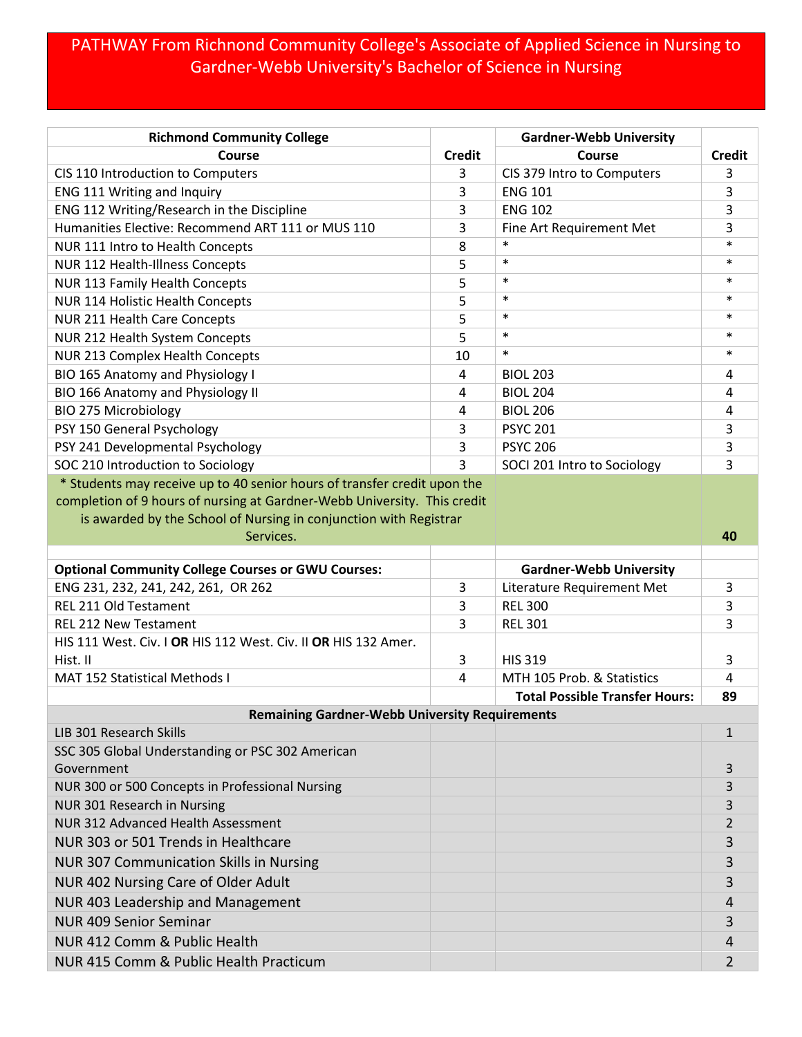## PATHWAY From Richnond Community College's Associate of Applied Science in Nursing to Gardner-Webb University's Bachelor of Science in Nursing

| <b>Richmond Community College</b>                                        |               | <b>Gardner-Webb University</b>        |                |
|--------------------------------------------------------------------------|---------------|---------------------------------------|----------------|
| Course                                                                   | <b>Credit</b> | Course                                | <b>Credit</b>  |
| CIS 110 Introduction to Computers                                        | 3             | CIS 379 Intro to Computers            | 3              |
| ENG 111 Writing and Inquiry                                              | 3             | <b>ENG 101</b>                        | 3              |
| ENG 112 Writing/Research in the Discipline                               | 3             | <b>ENG 102</b>                        | 3              |
| Humanities Elective: Recommend ART 111 or MUS 110                        | 3             | Fine Art Requirement Met              | 3              |
| NUR 111 Intro to Health Concepts                                         | 8             | $\ast$                                | $\ast$         |
| NUR 112 Health-Illness Concepts                                          | 5             | $\ast$                                | $\ast$         |
| <b>NUR 113 Family Health Concepts</b>                                    | 5             | $\ast$                                | $\ast$         |
| <b>NUR 114 Holistic Health Concepts</b>                                  | 5             | $\ast$                                | $\ast$         |
| NUR 211 Health Care Concepts                                             | 5             | $\ast$                                | $\ast$         |
| NUR 212 Health System Concepts                                           | 5             | $\ast$                                | $\ast$         |
| NUR 213 Complex Health Concepts                                          | 10            | $\ast$                                | *              |
| BIO 165 Anatomy and Physiology I                                         | 4             | <b>BIOL 203</b>                       | 4              |
| BIO 166 Anatomy and Physiology II                                        | 4             | <b>BIOL 204</b>                       | 4              |
| <b>BIO 275 Microbiology</b>                                              | 4             | <b>BIOL 206</b>                       | 4              |
| PSY 150 General Psychology                                               | 3             | <b>PSYC 201</b>                       | 3              |
| PSY 241 Developmental Psychology                                         | 3             | <b>PSYC 206</b>                       | 3              |
| SOC 210 Introduction to Sociology                                        | 3             | SOCI 201 Intro to Sociology           | 3              |
| * Students may receive up to 40 senior hours of transfer credit upon the |               |                                       |                |
| completion of 9 hours of nursing at Gardner-Webb University. This credit |               |                                       |                |
| is awarded by the School of Nursing in conjunction with Registrar        |               |                                       |                |
| Services.                                                                |               |                                       | 40             |
| <b>Optional Community College Courses or GWU Courses:</b>                |               | <b>Gardner-Webb University</b>        |                |
| ENG 231, 232, 241, 242, 261, OR 262                                      | 3             | Literature Requirement Met            | 3              |
| REL 211 Old Testament                                                    | 3             | <b>REL 300</b>                        | 3              |
| <b>REL 212 New Testament</b>                                             | 3             | <b>REL 301</b>                        | 3              |
| HIS 111 West. Civ.   OR HIS 112 West. Civ. II OR HIS 132 Amer.           |               |                                       |                |
| Hist. II                                                                 | 3             | <b>HIS 319</b>                        | 3              |
| <b>MAT 152 Statistical Methods I</b>                                     | 4             | MTH 105 Prob. & Statistics            | 4              |
|                                                                          |               | <b>Total Possible Transfer Hours:</b> | 89             |
| <b>Remaining Gardner-Webb University Requirements</b>                    |               |                                       |                |
| <b>LIB 301 Research Skills</b>                                           |               |                                       | $\mathbf{1}$   |
| SSC 305 Global Understanding or PSC 302 American                         |               |                                       |                |
| Government                                                               |               |                                       | 3              |
| NUR 300 or 500 Concepts in Professional Nursing                          |               |                                       | 3              |
| NUR 301 Research in Nursing                                              |               |                                       | 3              |
| <b>NUR 312 Advanced Health Assessment</b>                                |               |                                       | 2              |
| NUR 303 or 501 Trends in Healthcare                                      |               |                                       | 3              |
| <b>NUR 307 Communication Skills in Nursing</b>                           |               |                                       | 3              |
| NUR 402 Nursing Care of Older Adult                                      |               |                                       | 3              |
| NUR 403 Leadership and Management                                        |               |                                       | 4              |
|                                                                          |               |                                       |                |
| <b>NUR 409 Senior Seminar</b>                                            |               |                                       | 3              |
| NUR 412 Comm & Public Health                                             |               |                                       | 4              |
| NUR 415 Comm & Public Health Practicum                                   |               |                                       | $\overline{2}$ |